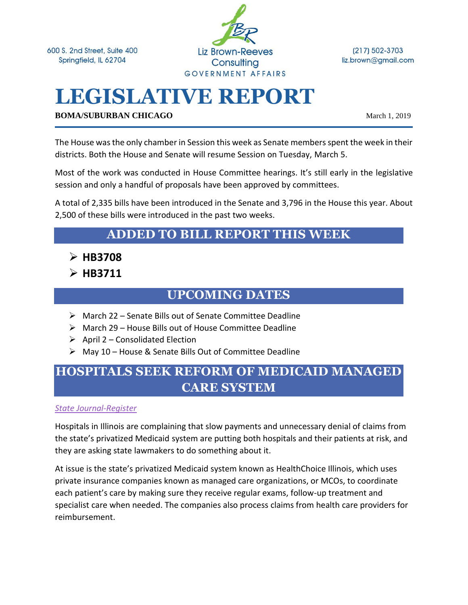600 S. 2nd Street, Suite 400 Springfield, IL 62704



 $(217) 502 - 3703$ liz.brown@gmail.com

# **LEGISLATIVE REPORT**

**BOMA/SUBURBAN CHICAGO** March 1, 2019

The House was the only chamber in Session this week as Senate members spent the week in their districts. Both the House and Senate will resume Session on Tuesday, March 5.

Most of the work was conducted in House Committee hearings. It's still early in the legislative session and only a handful of proposals have been approved by committees.

A total of 2,335 bills have been introduced in the Senate and 3,796 in the House this year. About 2,500 of these bills were introduced in the past two weeks.

### **ADDED TO BILL REPORT THIS WEEK**

- ➢ **HB3708**
- ➢ **HB3711**

### **UPCOMING DATES**

- ➢ March 22 Senate Bills out of Senate Committee Deadline
- ➢ March 29 House Bills out of House Committee Deadline
- $\triangleright$  April 2 Consolidated Election
- ➢ May 10 House & Senate Bills Out of Committee Deadline

# **HOSPITALS SEEK REFORM OF MEDICAID MANAGED CARE SYSTEM**

#### *[State Journal-Register](https://www.sj-r.com/news/20190226/illinois-hospitals-seek-reform-of-medicaid-managed-care-system)*

Hospitals in Illinois are complaining that slow payments and unnecessary denial of claims from the state's privatized Medicaid system are putting both hospitals and their patients at risk, and they are asking state lawmakers to do something about it.

At issue is the state's privatized Medicaid system known as HealthChoice Illinois, which uses private insurance companies known as managed care organizations, or MCOs, to coordinate each patient's care by making sure they receive regular exams, follow-up treatment and specialist care when needed. The companies also process claims from health care providers for reimbursement.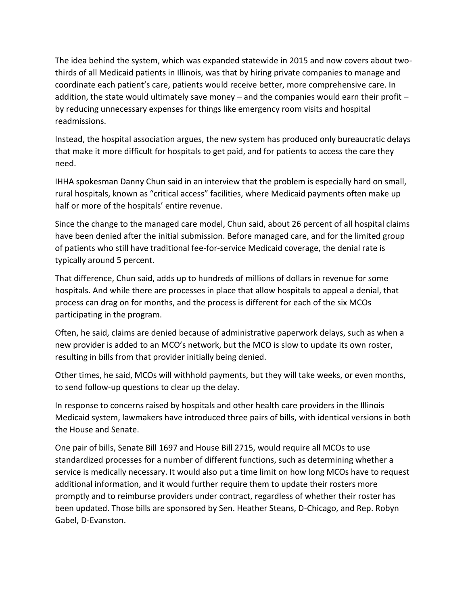The idea behind the system, which was expanded statewide in 2015 and now covers about twothirds of all Medicaid patients in Illinois, was that by hiring private companies to manage and coordinate each patient's care, patients would receive better, more comprehensive care. In addition, the state would ultimately save money  $-$  and the companies would earn their profit  $$ by reducing unnecessary expenses for things like emergency room visits and hospital readmissions.

Instead, the hospital association argues, the new system has produced only bureaucratic delays that make it more difficult for hospitals to get paid, and for patients to access the care they need.

IHHA spokesman Danny Chun said in an interview that the problem is especially hard on small, rural hospitals, known as "critical access" facilities, where Medicaid payments often make up half or more of the hospitals' entire revenue.

Since the change to the managed care model, Chun said, about 26 percent of all hospital claims have been denied after the initial submission. Before managed care, and for the limited group of patients who still have traditional fee-for-service Medicaid coverage, the denial rate is typically around 5 percent.

That difference, Chun said, adds up to hundreds of millions of dollars in revenue for some hospitals. And while there are processes in place that allow hospitals to appeal a denial, that process can drag on for months, and the process is different for each of the six MCOs participating in the program.

Often, he said, claims are denied because of administrative paperwork delays, such as when a new provider is added to an MCO's network, but the MCO is slow to update its own roster, resulting in bills from that provider initially being denied.

Other times, he said, MCOs will withhold payments, but they will take weeks, or even months, to send follow-up questions to clear up the delay.

In response to concerns raised by hospitals and other health care providers in the Illinois Medicaid system, lawmakers have introduced three pairs of bills, with identical versions in both the House and Senate.

One pair of bills, Senate Bill 1697 and House Bill 2715, would require all MCOs to use standardized processes for a number of different functions, such as determining whether a service is medically necessary. It would also put a time limit on how long MCOs have to request additional information, and it would further require them to update their rosters more promptly and to reimburse providers under contract, regardless of whether their roster has been updated. Those bills are sponsored by Sen. Heather Steans, D-Chicago, and Rep. Robyn Gabel, D-Evanston.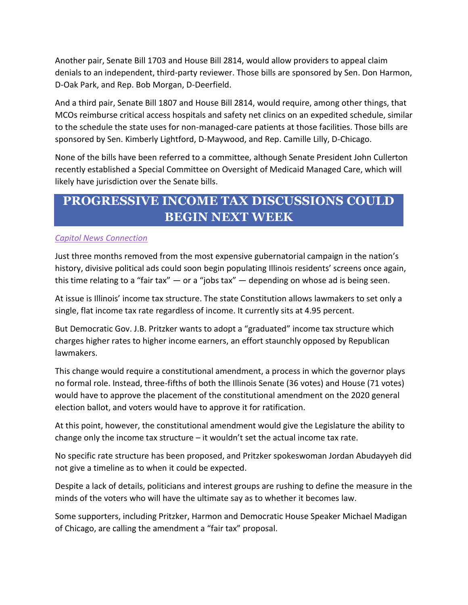Another pair, Senate Bill 1703 and House Bill 2814, would allow providers to appeal claim denials to an independent, third-party reviewer. Those bills are sponsored by Sen. Don Harmon, D-Oak Park, and Rep. Bob Morgan, D-Deerfield.

And a third pair, Senate Bill 1807 and House Bill 2814, would require, among other things, that MCOs reimburse critical access hospitals and safety net clinics on an expedited schedule, similar to the schedule the state uses for non-managed-care patients at those facilities. Those bills are sponsored by Sen. Kimberly Lightford, D-Maywood, and Rep. Camille Lilly, D-Chicago.

None of the bills have been referred to a committee, although Senate President John Cullerton recently established a Special Committee on Oversight of Medicaid Managed Care, which will likely have jurisdiction over the Senate bills.

# **PROGRESSIVE INCOME TAX DISCUSSIONS COULD BEGIN NEXT WEEK**

#### *[Capitol News Connection](https://www.sj-r.com/news/20190225/progressive-income-tax-discussions-could-begin-next-week)*

Just three months removed from the most expensive gubernatorial campaign in the nation's history, divisive political ads could soon begin populating Illinois residents' screens once again, this time relating to a "fair tax"  $-$  or a "jobs tax"  $-$  depending on whose ad is being seen.

At issue is Illinois' income tax structure. The state Constitution allows lawmakers to set only a single, flat income tax rate regardless of income. It currently sits at 4.95 percent.

But Democratic Gov. J.B. Pritzker wants to adopt a "graduated" income tax structure which charges higher rates to higher income earners, an effort staunchly opposed by Republican lawmakers.

This change would require a constitutional amendment, a process in which the governor plays no formal role. Instead, three-fifths of both the Illinois Senate (36 votes) and House (71 votes) would have to approve the placement of the constitutional amendment on the 2020 general election ballot, and voters would have to approve it for ratification.

At this point, however, the constitutional amendment would give the Legislature the ability to change only the income tax structure  $-$  it wouldn't set the actual income tax rate.

No specific rate structure has been proposed, and Pritzker spokeswoman Jordan Abudayyeh did not give a timeline as to when it could be expected.

Despite a lack of details, politicians and interest groups are rushing to define the measure in the minds of the voters who will have the ultimate say as to whether it becomes law.

Some supporters, including Pritzker, Harmon and Democratic House Speaker Michael Madigan of Chicago, are calling the amendment a "fair tax" proposal.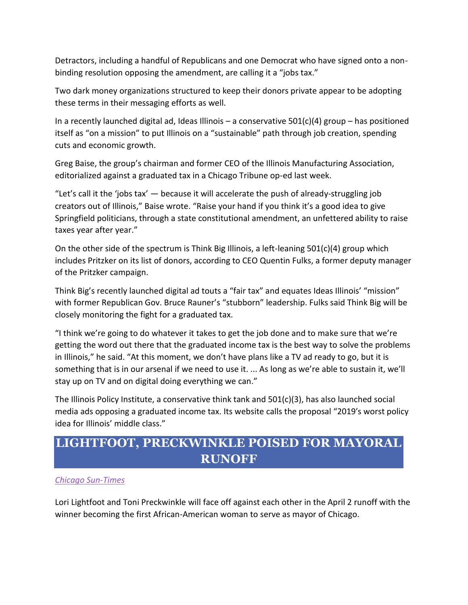Detractors, including a handful of Republicans and one Democrat who have signed onto a nonbinding resolution opposing the amendment, are calling it a "jobs tax."

Two dark money organizations structured to keep their donors private appear to be adopting these terms in their messaging efforts as well.

In a recently launched digital ad, Ideas Illinois – a conservative  $501(c)(4)$  group – has positioned itself as "on a mission" to put Illinois on a "sustainable" path through job creation, spending cuts and economic growth.

Greg Baise, the group's chairman and former CEO of the Illinois Manufacturing Association, editorialized against a graduated tax in a Chicago Tribune op-ed last week.

"Let's call it the 'jobs tax'  $-$  because it will accelerate the push of already-struggling job creators out of Illinois," Baise wrote. "Raise your hand if you think it's a good idea to give Springfield politicians, through a state constitutional amendment, an unfettered ability to raise taxes year after year."

On the other side of the spectrum is Think Big Illinois, a left-leaning  $501(c)(4)$  group which includes Pritzker on its list of donors, according to CEO Quentin Fulks, a former deputy manager of the Pritzker campaign.

Think Big's recently launched digital ad touts a "fair tax" and equates Ideas Illinois' "mission" with former Republican Gov. Bruce Rauner's "stubborn" leadership. Fulks said Think Big will be closely monitoring the fight for a graduated tax.

"I think we're going to do whatever it takes to get the job done and to make sure that we're getting the word out there that the graduated income tax is the best way to solve the problems in Illinois," he said. "At this moment, we don't have plans like a TV ad ready to go, but it is something that is in our arsenal if we need to use it. ... As long as we're able to sustain it, we'll stay up on TV and on digital doing everything we can."

The Illinois Policy Institute, a conservative think tank and 501(c)(3), has also launched social media ads opposing a graduated income tax. Its website calls the proposal "2019′s worst policy idea for Illinois' middle class."

## **LIGHTFOOT, PRECKWINKLE POISED FOR MAYORAL RUNOFF**

#### *[Chicago Sun-Times](https://chicago.suntimes.com/news/mayoral-election-2019-results/)*

Lori Lightfoot and Toni Preckwinkle will face off against each other in the April 2 runoff with the winner becoming the first African-American woman to serve as mayor of Chicago.